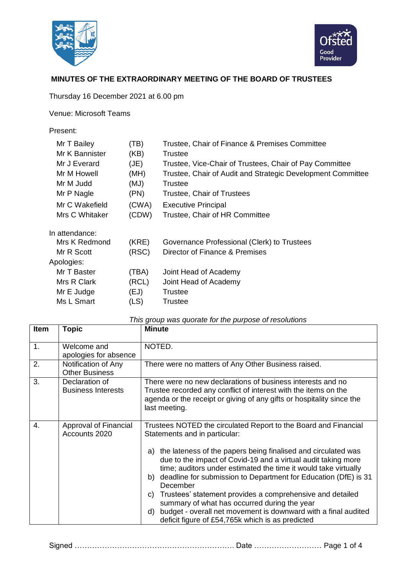



## **MINUTES OF THE EXTRAORDINARY MEETING OF THE BOARD OF TRUSTEES**

Thursday 16 December 2021 at 6.00 pm

Venue: Microsoft Teams

Present:

| Mr T Bailey    | (TB)  | Trustee, Chair of Finance & Premises Committee              |  |
|----------------|-------|-------------------------------------------------------------|--|
| Mr K Bannister | (KB)  | Trustee                                                     |  |
| Mr J Everard   | (JE)  | Trustee, Vice-Chair of Trustees, Chair of Pay Committee     |  |
| Mr M Howell    | (MH)  | Trustee, Chair of Audit and Strategic Development Committee |  |
| Mr M Judd      | (MJ)  | Trustee                                                     |  |
| Mr P Nagle     | (PN)  | Trustee, Chair of Trustees                                  |  |
| Mr C Wakefield | (CWA) | <b>Executive Principal</b>                                  |  |
| Mrs C Whitaker | (CDW) | Trustee, Chair of HR Committee                              |  |
| In attendance: |       |                                                             |  |
| Mrs K Redmond  | (KRE) | Governance Professional (Clerk) to Trustees                 |  |
| Mr R Scott     | (RSC) | Director of Finance & Premises                              |  |
| Apologies:     |       |                                                             |  |
| Mr T Baster    | (TBA) | Joint Head of Academy                                       |  |
| Mrs R Clark    | (RCL) | Joint Head of Academy                                       |  |
| Mr E Judge     | (EJ)  | Trustee                                                     |  |
| Ms L Smart     | (LS)  | Trustee                                                     |  |
|                |       |                                                             |  |

| Item | Topic                                        | <b>Minute</b>                                                                                                                                                                                                                                                                                                                                                                                                                                                                                                                                                                                                                                   |  |
|------|----------------------------------------------|-------------------------------------------------------------------------------------------------------------------------------------------------------------------------------------------------------------------------------------------------------------------------------------------------------------------------------------------------------------------------------------------------------------------------------------------------------------------------------------------------------------------------------------------------------------------------------------------------------------------------------------------------|--|
| 1.   | Welcome and<br>apologies for absence         | NOTED.                                                                                                                                                                                                                                                                                                                                                                                                                                                                                                                                                                                                                                          |  |
| 2.   | Notification of Any<br><b>Other Business</b> | There were no matters of Any Other Business raised.                                                                                                                                                                                                                                                                                                                                                                                                                                                                                                                                                                                             |  |
| 3.   | Declaration of<br><b>Business Interests</b>  | There were no new declarations of business interests and no<br>Trustee recorded any conflict of interest with the items on the<br>agenda or the receipt or giving of any gifts or hospitality since the<br>last meeting.                                                                                                                                                                                                                                                                                                                                                                                                                        |  |
| 4.   | Approval of Financial<br>Accounts 2020       | Trustees NOTED the circulated Report to the Board and Financial<br>Statements and in particular:<br>the lateness of the papers being finalised and circulated was<br>a)<br>due to the impact of Covid-19 and a virtual audit taking more<br>time; auditors under estimated the time it would take virtually<br>deadline for submission to Department for Education (DfE) is 31<br>b)<br>December<br>Trustees' statement provides a comprehensive and detailed<br>C)<br>summary of what has occurred during the year<br>budget - overall net movement is downward with a final audited<br>d)<br>deficit figure of £54,765k which is as predicted |  |

Signed ………………………………………………………. Date ……………………… Page 1 of 4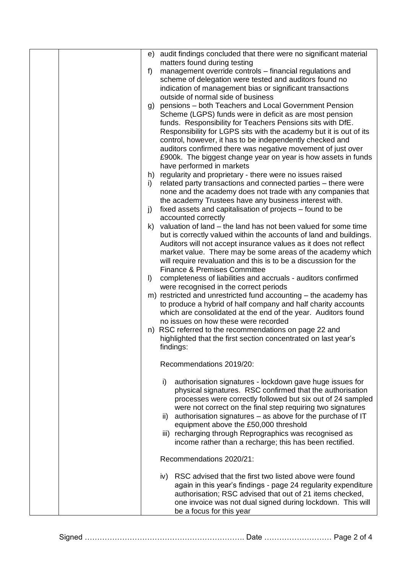| e)                   | audit findings concluded that there were no significant material<br>matters found during testing                                                                                                                                                                                                                                                                                                                                                                                                                                                                                                                                                                                                                                                                                                                                                                                                                                                                                                                                      |
|----------------------|---------------------------------------------------------------------------------------------------------------------------------------------------------------------------------------------------------------------------------------------------------------------------------------------------------------------------------------------------------------------------------------------------------------------------------------------------------------------------------------------------------------------------------------------------------------------------------------------------------------------------------------------------------------------------------------------------------------------------------------------------------------------------------------------------------------------------------------------------------------------------------------------------------------------------------------------------------------------------------------------------------------------------------------|
| f                    | management override controls - financial regulations and<br>scheme of delegation were tested and auditors found no<br>indication of management bias or significant transactions<br>outside of normal side of business                                                                                                                                                                                                                                                                                                                                                                                                                                                                                                                                                                                                                                                                                                                                                                                                                 |
| g)<br>h)<br>i)<br>j) | pensions - both Teachers and Local Government Pension<br>Scheme (LGPS) funds were in deficit as are most pension<br>funds. Responsibility for Teachers Pensions sits with DfE.<br>Responsibility for LGPS sits with the academy but it is out of its<br>control, however, it has to be independently checked and<br>auditors confirmed there was negative movement of just over<br>£900k. The biggest change year on year is how assets in funds<br>have performed in markets<br>regularity and proprietary - there were no issues raised<br>related party transactions and connected parties – there were<br>none and the academy does not trade with any companies that<br>the academy Trustees have any business interest with.<br>fixed assets and capitalisation of projects – found to be<br>accounted correctly<br>k) valuation of land - the land has not been valued for some time<br>but is correctly valued within the accounts of land and buildings.<br>Auditors will not accept insurance values as it does not reflect |
|                      | market value. There may be some areas of the academy which<br>will require revaluation and this is to be a discussion for the                                                                                                                                                                                                                                                                                                                                                                                                                                                                                                                                                                                                                                                                                                                                                                                                                                                                                                         |
| $\vert$              | <b>Finance &amp; Premises Committee</b><br>completeness of liabilities and accruals - auditors confirmed                                                                                                                                                                                                                                                                                                                                                                                                                                                                                                                                                                                                                                                                                                                                                                                                                                                                                                                              |
| n)                   | were recognised in the correct periods<br>m) restricted and unrestricted fund accounting – the academy has<br>to produce a hybrid of half company and half charity accounts<br>which are consolidated at the end of the year. Auditors found<br>no issues on how these were recorded<br>RSC referred to the recommendations on page 22 and<br>highlighted that the first section concentrated on last year's<br>findings:                                                                                                                                                                                                                                                                                                                                                                                                                                                                                                                                                                                                             |
|                      | Recommendations 2019/20:                                                                                                                                                                                                                                                                                                                                                                                                                                                                                                                                                                                                                                                                                                                                                                                                                                                                                                                                                                                                              |
|                      | authorisation signatures - lockdown gave huge issues for<br>i)<br>physical signatures. RSC confirmed that the authorisation<br>processes were correctly followed but six out of 24 sampled<br>were not correct on the final step requiring two signatures<br>ii) authorisation signatures – as above for the purchase of IT<br>equipment above the £50,000 threshold<br>iii) recharging through Reprographics was recognised as<br>income rather than a recharge; this has been rectified.                                                                                                                                                                                                                                                                                                                                                                                                                                                                                                                                            |
|                      | Recommendations 2020/21:                                                                                                                                                                                                                                                                                                                                                                                                                                                                                                                                                                                                                                                                                                                                                                                                                                                                                                                                                                                                              |
|                      | iv) RSC advised that the first two listed above were found<br>again in this year's findings - page 24 regularity expenditure<br>authorisation; RSC advised that out of 21 items checked,<br>one invoice was not dual signed during lockdown. This will<br>be a focus for this year                                                                                                                                                                                                                                                                                                                                                                                                                                                                                                                                                                                                                                                                                                                                                    |

Signed ………………………………………………………. Date ……………………… Page 2 of 4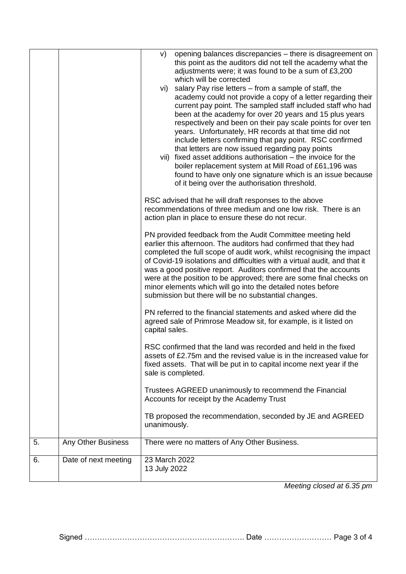|                      | opening balances discrepancies - there is disagreement on<br>V)<br>this point as the auditors did not tell the academy what the<br>adjustments were; it was found to be a sum of £3,200<br>which will be corrected<br>vi) salary Pay rise letters – from a sample of staff, the<br>academy could not provide a copy of a letter regarding their<br>current pay point. The sampled staff included staff who had<br>been at the academy for over 20 years and 15 plus years<br>respectively and been on their pay scale points for over ten<br>years. Unfortunately, HR records at that time did not<br>include letters confirming that pay point. RSC confirmed<br>that letters are now issued regarding pay points<br>vii) fixed asset additions authorisation - the invoice for the<br>boiler replacement system at Mill Road of £61,196 was<br>found to have only one signature which is an issue because<br>of it being over the authorisation threshold.<br>RSC advised that he will draft responses to the above |  |
|----------------------|-----------------------------------------------------------------------------------------------------------------------------------------------------------------------------------------------------------------------------------------------------------------------------------------------------------------------------------------------------------------------------------------------------------------------------------------------------------------------------------------------------------------------------------------------------------------------------------------------------------------------------------------------------------------------------------------------------------------------------------------------------------------------------------------------------------------------------------------------------------------------------------------------------------------------------------------------------------------------------------------------------------------------|--|
|                      | recommendations of three medium and one low risk. There is an<br>action plan in place to ensure these do not recur.<br>PN provided feedback from the Audit Committee meeting held<br>earlier this afternoon. The auditors had confirmed that they had<br>completed the full scope of audit work, whilst recognising the impact<br>of Covid-19 isolations and difficulties with a virtual audit, and that it<br>was a good positive report. Auditors confirmed that the accounts<br>were at the position to be approved; there are some final checks on<br>minor elements which will go into the detailed notes before                                                                                                                                                                                                                                                                                                                                                                                                 |  |
|                      | submission but there will be no substantial changes.<br>PN referred to the financial statements and asked where did the<br>agreed sale of Primrose Meadow sit, for example, is it listed on<br>capital sales.<br>RSC confirmed that the land was recorded and held in the fixed                                                                                                                                                                                                                                                                                                                                                                                                                                                                                                                                                                                                                                                                                                                                       |  |
|                      | assets of £2.75m and the revised value is in the increased value for<br>fixed assets. That will be put in to capital income next year if the<br>sale is completed.<br>Trustees AGREED unanimously to recommend the Financial<br>Accounts for receipt by the Academy Trust                                                                                                                                                                                                                                                                                                                                                                                                                                                                                                                                                                                                                                                                                                                                             |  |
|                      | TB proposed the recommendation, seconded by JE and AGREED<br>unanimously.                                                                                                                                                                                                                                                                                                                                                                                                                                                                                                                                                                                                                                                                                                                                                                                                                                                                                                                                             |  |
| Any Other Business   | There were no matters of Any Other Business.                                                                                                                                                                                                                                                                                                                                                                                                                                                                                                                                                                                                                                                                                                                                                                                                                                                                                                                                                                          |  |
| Date of next meeting | 23 March 2022<br>13 July 2022                                                                                                                                                                                                                                                                                                                                                                                                                                                                                                                                                                                                                                                                                                                                                                                                                                                                                                                                                                                         |  |
|                      |                                                                                                                                                                                                                                                                                                                                                                                                                                                                                                                                                                                                                                                                                                                                                                                                                                                                                                                                                                                                                       |  |

*Meeting closed at 6.35 pm*